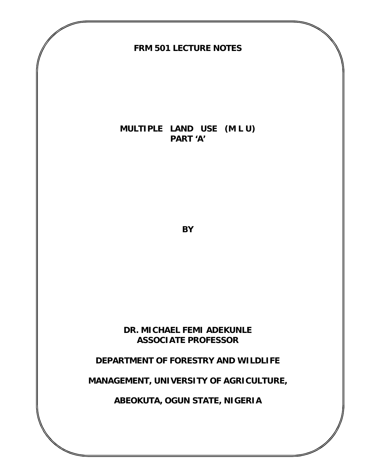

### **MULTIPLE LAND USE (M L U) PART 'A'**

**BY**

### **DR. MICHAEL FEMI ADEKUNLE ASSOCIATE PROFESSOR**

# **DEPARTMENT OF FORESTRY AND WILDLIFE**

# **MANAGEMENT, UNIVERSITY OF AGRICULTURE,**

**ABEOKUTA, OGUN STATE, NIGERIA**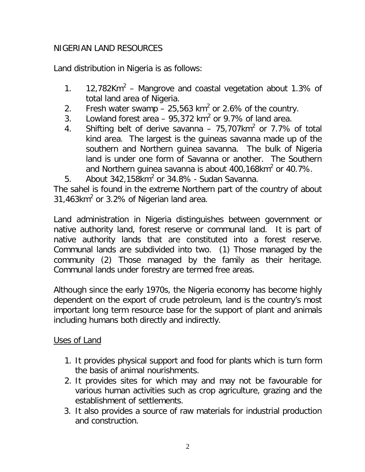# NIGERIAN LAND RESOURCES

Land distribution in Nigeria is as follows:

- 1. 12,782Km<sup>2</sup> Mangrove and coastal vegetation about 1.3% of total land area of Nigeria.
- 2. Fresh water swamp  $-25,563$  km<sup>2</sup> or 2.6% of the country.
- 3. Lowland forest area  $-95,372$  km<sup>2</sup> or 9.7% of land area.
- 4. Shifting belt of derive savanna 75,707 $km^2$  or 7.7% of total kind area. The largest is the guineas savanna made up of the southern and Northern guinea savanna. The bulk of Nigeria land is under one form of Savanna or another. The Southern and Northern guinea savanna is about 400,168 $km^2$  or 40.7%.
- 5. About  $342,158km^2$  or  $34.8\%$  Sudan Savanna.

The sahel is found in the extreme Northern part of the country of about 31,463 $km^2$  or 3.2% of Nigerian land area.

Land administration in Nigeria distinguishes between government or native authority land, forest reserve or communal land. It is part of native authority lands that are constituted into a forest reserve. Communal lands are subdivided into two. (1) Those managed by the community (2) Those managed by the family as their heritage. Communal lands under forestry are termed free areas.

Although since the early 1970s, the Nigeria economy has become highly dependent on the export of crude petroleum, land is the country's most important long term resource base for the support of plant and animals including humans both directly and indirectly.

### Uses of Land

- 1. It provides physical support and food for plants which is turn form the basis of animal nourishments.
- 2. It provides sites for which may and may not be favourable for various human activities such as crop agriculture, grazing and the establishment of settlements.
- 3. It also provides a source of raw materials for industrial production and construction.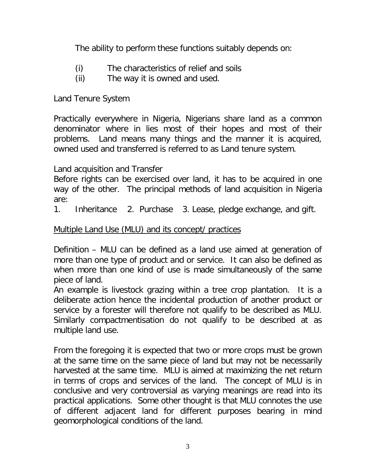The ability to perform these functions suitably depends on:

- (i) The characteristics of relief and soils
- (ii) The way it is owned and used.

Land Tenure System

Practically everywhere in Nigeria, Nigerians share land as a common denominator where in lies most of their hopes and most of their problems. Land means many things and the manner it is acquired, owned used and transferred is referred to as Land tenure system.

Land acquisition and Transfer

Before rights can be exercised over land, it has to be acquired in one way of the other. The principal methods of land acquisition in Nigeria are:

1. Inheritance 2. Purchase 3. Lease, pledge exchange, and gift.

# Multiple Land Use (MLU) and its concept/ practices

Definition – MLU can be defined as a land use aimed at generation of more than one type of product and or service. It can also be defined as when more than one kind of use is made simultaneously of the same piece of land.

An example is livestock grazing within a tree crop plantation. It is a deliberate action hence the incidental production of another product or service by a forester will therefore not qualify to be described as MLU. Similarly compactmentisation do not qualify to be described at as multiple land use.

From the foregoing it is expected that two or more crops must be grown at the same time on the same piece of land but may not be necessarily harvested at the same time. MLU is aimed at maximizing the net return in terms of crops and services of the land. The concept of MLU is in conclusive and very controversial as varying meanings are read into its practical applications. Some other thought is that MLU connotes the use of different adjacent land for different purposes bearing in mind geomorphological conditions of the land.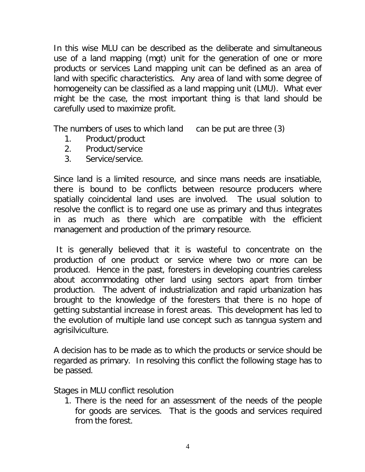In this wise MLU can be described as the deliberate and simultaneous use of a land mapping (mgt) unit for the generation of one or more products or services Land mapping unit can be defined as an area of land with specific characteristics. Any area of land with some degree of homogeneity can be classified as a land mapping unit (LMU). What ever might be the case, the most important thing is that land should be carefully used to maximize profit.

The numbers of uses to which land can be put are three (3)

- 1. Product/product
- 2. Product/service
- 3. Service/service.

Since land is a limited resource, and since mans needs are insatiable, there is bound to be conflicts between resource producers where spatially coincidental land uses are involved. The usual solution to resolve the conflict is to regard one use as primary and thus integrates in as much as there which are compatible with the efficient management and production of the primary resource.

It is generally believed that it is wasteful to concentrate on the production of one product or service where two or more can be produced. Hence in the past, foresters in developing countries careless about accommodating other land using sectors apart from timber production. The advent of industrialization and rapid urbanization has brought to the knowledge of the foresters that there is no hope of getting substantial increase in forest areas. This development has led to the evolution of multiple land use concept such as tanngua system and agrisilviculture.

A decision has to be made as to which the products or service should be regarded as primary. In resolving this conflict the following stage has to be passed.

Stages in MLU conflict resolution

1. There is the need for an assessment of the needs of the people for goods are services. That is the goods and services required from the forest.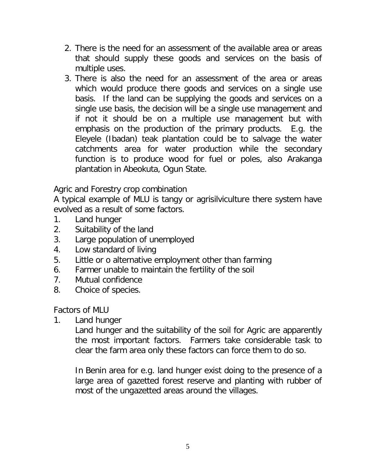- 2. There is the need for an assessment of the available area or areas that should supply these goods and services on the basis of multiple uses.
- 3. There is also the need for an assessment of the area or areas which would produce there goods and services on a single use basis. If the land can be supplying the goods and services on a single use basis, the decision will be a single use management and if not it should be on a multiple use management but with emphasis on the production of the primary products. E.g. the Eleyele (Ibadan) teak plantation could be to salvage the water catchments area for water production while the secondary function is to produce wood for fuel or poles, also Arakanga plantation in Abeokuta, Ogun State.

Agric and Forestry crop combination

A typical example of MLU is tangy or agrisilviculture there system have evolved as a result of some factors.

- 1. Land hunger
- 2. Suitability of the land
- 3. Large population of unemployed
- 4. Low standard of living
- 5. Little or o alternative employment other than farming
- 6. Farmer unable to maintain the fertility of the soil
- 7. Mutual confidence
- 8. Choice of species.

# Factors of MLU

1. Land hunger

Land hunger and the suitability of the soil for Agric are apparently the most important factors. Farmers take considerable task to clear the farm area only these factors can force them to do so.

In Benin area for e.g. land hunger exist doing to the presence of a large area of gazetted forest reserve and planting with rubber of most of the ungazetted areas around the villages.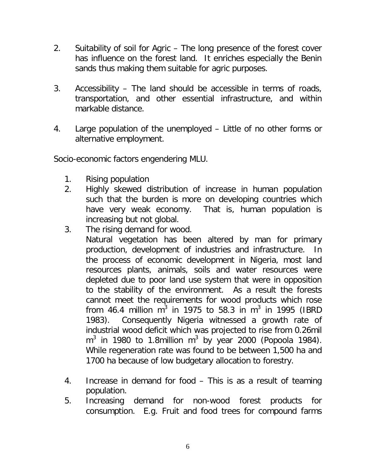- 2. Suitability of soil for Agric The long presence of the forest cover has influence on the forest land. It enriches especially the Benin sands thus making them suitable for agric purposes.
- 3. Accessibility The land should be accessible in terms of roads, transportation, and other essential infrastructure, and within markable distance.
- 4. Large population of the unemployed Little of no other forms or alternative employment.

Socio-economic factors engendering MLU.

- 1. Rising population
- 2. Highly skewed distribution of increase in human population such that the burden is more on developing countries which have very weak economy. That is, human population is increasing but not global.
- 3. The rising demand for wood.

Natural vegetation has been altered by man for primary production, development of industries and infrastructure. In the process of economic development in Nigeria, most land resources plants, animals, soils and water resources were depleted due to poor land use system that were in opposition to the stability of the environment. As a result the forests cannot meet the requirements for wood products which rose from 46.4 million m $^3$  in 1975 to 58.3 in m $^3$  in 1995 (IBRD 1983). Consequently Nigeria witnessed a growth rate of industrial wood deficit which was projected to rise from 0.26mil  $m^3$  in 1980 to 1.8million  $m^3$  by year 2000 (Popoola 1984). While regeneration rate was found to be between 1,500 ha and 1700 ha because of low budgetary allocation to forestry.

- 4. Increase in demand for food This is as a result of teaming population.
- 5. Increasing demand for non-wood forest products for consumption. E.g. Fruit and food trees for compound farms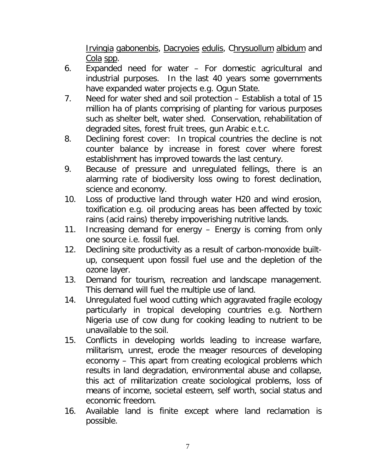Irvingia gabonenbis, Dacryoies edulis, Chrysuollum albidum and Cola spp.

- 6. Expanded need for water For domestic agricultural and industrial purposes. In the last 40 years some governments have expanded water projects e.g. Ogun State.
- 7. Need for water shed and soil protection Establish a total of 15 million ha of plants comprising of planting for various purposes such as shelter belt, water shed. Conservation, rehabilitation of degraded sites, forest fruit trees, gun Arabic e.t.c.
- 8. Declining forest cover: In tropical countries the decline is not counter balance by increase in forest cover where forest establishment has improved towards the last century.
- 9. Because of pressure and unregulated fellings, there is an alarming rate of biodiversity loss owing to forest declination, science and economy.
- 10. Loss of productive land through water H20 and wind erosion, toxification e.g. oil producing areas has been affected by toxic rains (acid rains) thereby impoverishing nutritive lands.
- 11. Increasing demand for energy Energy is coming from only one source i.e. fossil fuel.
- 12. Declining site productivity as a result of carbon-monoxide builtup, consequent upon fossil fuel use and the depletion of the ozone layer.
- 13. Demand for tourism, recreation and landscape management. This demand will fuel the multiple use of land.
- 14. Unregulated fuel wood cutting which aggravated fragile ecology particularly in tropical developing countries e.g. Northern Nigeria use of cow dung for cooking leading to nutrient to be unavailable to the soil.
- 15. Conflicts in developing worlds leading to increase warfare, militarism, unrest, erode the meager resources of developing economy – This apart from creating ecological problems which results in land degradation, environmental abuse and collapse, this act of militarization create sociological problems, loss of means of income, societal esteem, self worth, social status and economic freedom.
- 16. Available land is finite except where land reclamation is possible.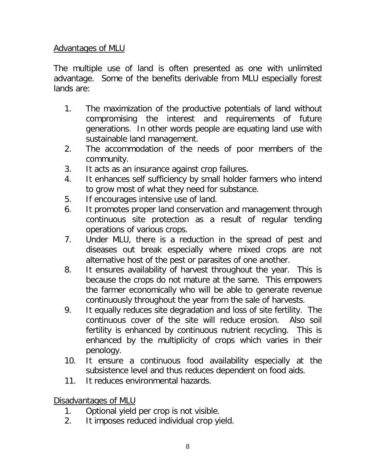### Advantages of MLU

The multiple use of land is often presented as one with unlimited advantage. Some of the benefits derivable from MLU especially forest lands are:

- 1. The maximization of the productive potentials of land without compromising the interest and requirements of future generations. In other words people are equating land use with sustainable land management.
- 2. The accommodation of the needs of poor members of the community.
- 3. It acts as an insurance against crop failures.
- 4. It enhances self sufficiency by small holder farmers who intend to grow most of what they need for substance.
- 5. If encourages intensive use of land.
- 6. It promotes proper land conservation and management through continuous site protection as a result of regular tending operations of various crops.
- 7. Under MLU, there is a reduction in the spread of pest and diseases out break especially where mixed crops are not alternative host of the pest or parasites of one another.
- 8. It ensures availability of harvest throughout the year. This is because the crops do not mature at the same. This empowers the farmer economically who will be able to generate revenue continuously throughout the year from the sale of harvests.
- 9. It equally reduces site degradation and loss of site fertility. The continuous cover of the site will reduce erosion. Also soil fertility is enhanced by continuous nutrient recycling. This is enhanced by the multiplicity of crops which varies in their penology.
- 10. It ensure a continuous food availability especially at the subsistence level and thus reduces dependent on food aids.
- 11. It reduces environmental hazards.

Disadvantages of MLU

- 1. Optional yield per crop is not visible.
- 2. It imposes reduced individual crop yield.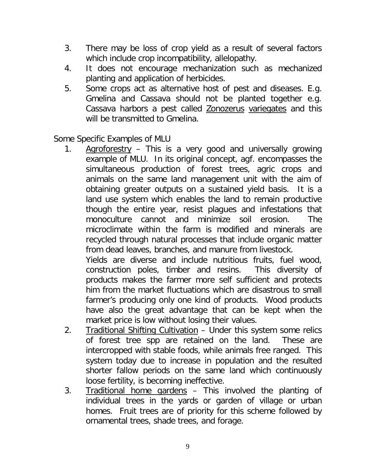- 3. There may be loss of crop yield as a result of several factors which include crop incompatibility, allelopathy.
- 4. It does not encourage mechanization such as mechanized planting and application of herbicides.
- 5. Some crops act as alternative host of pest and diseases. E.g. Gmelina and Cassava should not be planted together e.g. Cassava harbors a pest called Zonozerus variegates and this will be transmitted to Gmelina.

Some Specific Examples of MLU

1. Agroforestry - This is a very good and universally growing example of MLU. In its original concept, agf. encompasses the simultaneous production of forest trees, agric crops and animals on the same land management unit with the aim of obtaining greater outputs on a sustained yield basis. It is a land use system which enables the land to remain productive though the entire year, resist plagues and infestations that monoculture cannot and minimize soil erosion. The microclimate within the farm is modified and minerals are recycled through natural processes that include organic matter from dead leaves, branches, and manure from livestock.

Yields are diverse and include nutritious fruits, fuel wood, construction poles, timber and resins. This diversity of products makes the farmer more self sufficient and protects him from the market fluctuations which are disastrous to small farmer's producing only one kind of products. Wood products have also the great advantage that can be kept when the market price is low without losing their values.

- 2. Traditional Shifting Cultivation Under this system some relics of forest tree spp are retained on the land. These are intercropped with stable foods, while animals free ranged. This system today due to increase in population and the resulted shorter fallow periods on the same land which continuously loose fertility, is becoming ineffective.
- 3. Traditional home gardens This involved the planting of individual trees in the yards or garden of village or urban homes. Fruit trees are of priority for this scheme followed by ornamental trees, shade trees, and forage.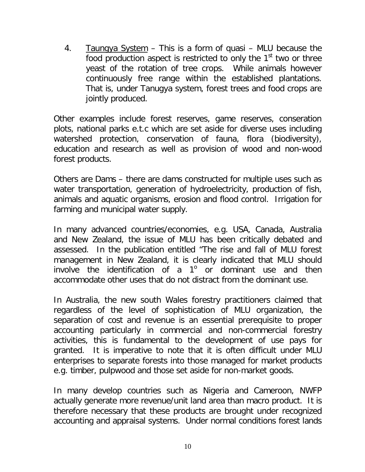4. Taungya System - This is a form of quasi - MLU because the food production aspect is restricted to only the  $1<sup>st</sup>$  two or three yeast of the rotation of tree crops. While animals however continuously free range within the established plantations. That is, under Tanugya system, forest trees and food crops are jointly produced.

Other examples include forest reserves, game reserves, conseration plots, national parks e.t.c which are set aside for diverse uses including watershed protection, conservation of fauna, flora (biodiversity), education and research as well as provision of wood and non-wood forest products.

Others are Dams – there are dams constructed for multiple uses such as water transportation, generation of hydroelectricity, production of fish, animals and aquatic organisms, erosion and flood control. Irrigation for farming and municipal water supply.

In many advanced countries/economies, e.g. USA, Canada, Australia and New Zealand, the issue of MLU has been critically debated and assessed. In the publication entitled "The rise and fall of MLU forest management in New Zealand, it is clearly indicated that MLU should involve the identification of a  $1^{\circ}$  or dominant use and then accommodate other uses that do not distract from the dominant use.

In Australia, the new south Wales forestry practitioners claimed that regardless of the level of sophistication of MLU organization, the separation of cost and revenue is an essential prerequisite to proper accounting particularly in commercial and non-commercial forestry activities, this is fundamental to the development of use pays for granted. It is imperative to note that it is often difficult under MLU enterprises to separate forests into those managed for market products e.g. timber, pulpwood and those set aside for non-market goods.

In many develop countries such as Nigeria and Cameroon, NWFP actually generate more revenue/unit land area than macro product. It is therefore necessary that these products are brought under recognized accounting and appraisal systems. Under normal conditions forest lands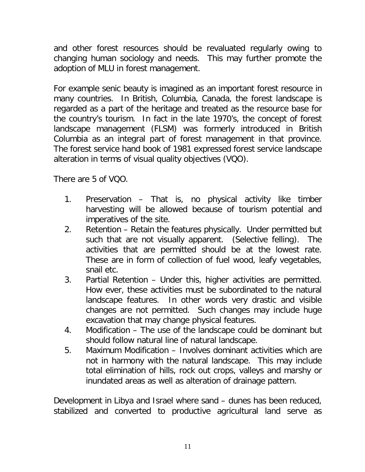and other forest resources should be revaluated regularly owing to changing human sociology and needs. This may further promote the adoption of MLU in forest management.

For example senic beauty is imagined as an important forest resource in many countries. In British, Columbia, Canada, the forest landscape is regarded as a part of the heritage and treated as the resource base for the country's tourism. In fact in the late 1970's, the concept of forest landscape management (FLSM) was formerly introduced in British Columbia as an integral part of forest management in that province. The forest service hand book of 1981 expressed forest service landscape alteration in terms of visual quality objectives (VQO).

There are 5 of VQO.

- 1. Preservation That is, no physical activity like timber harvesting will be allowed because of tourism potential and imperatives of the site.
- 2. Retention Retain the features physically. Under permitted but such that are not visually apparent. (Selective felling). The activities that are permitted should be at the lowest rate. These are in form of collection of fuel wood, leafy vegetables, snail etc.
- 3. Partial Retention Under this, higher activities are permitted. How ever, these activities must be subordinated to the natural landscape features. In other words very drastic and visible changes are not permitted. Such changes may include huge excavation that may change physical features.
- 4. Modification The use of the landscape could be dominant but should follow natural line of natural landscape.
- 5. Maximum Modification Involves dominant activities which are not in harmony with the natural landscape. This may include total elimination of hills, rock out crops, valleys and marshy or inundated areas as well as alteration of drainage pattern.

Development in Libya and Israel where sand – dunes has been reduced, stabilized and converted to productive agricultural land serve as